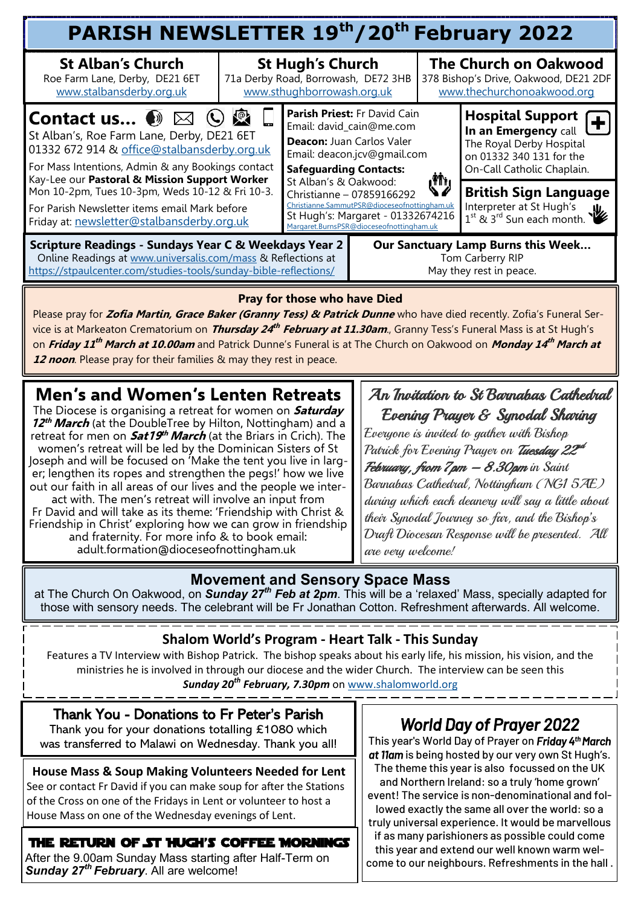| PARISH NEWSLETTER 19th/20th February 2022                                                                                                                                                                                                                                                 |                                                                                              |                                                                                                                                                                                                                                                                                                                                                        |  |                                                                                                     |                                                                                                                                  |  |  |  |  |
|-------------------------------------------------------------------------------------------------------------------------------------------------------------------------------------------------------------------------------------------------------------------------------------------|----------------------------------------------------------------------------------------------|--------------------------------------------------------------------------------------------------------------------------------------------------------------------------------------------------------------------------------------------------------------------------------------------------------------------------------------------------------|--|-----------------------------------------------------------------------------------------------------|----------------------------------------------------------------------------------------------------------------------------------|--|--|--|--|
| <b>St Alban's Church</b><br>Roe Farm Lane, Derby, DE21 6ET<br>www.stalbansderby.org.uk                                                                                                                                                                                                    | <b>St Hugh's Church</b><br>71a Derby Road, Borrowash, DE72 3HB<br>www.sthughborrowash.org.uk |                                                                                                                                                                                                                                                                                                                                                        |  | <b>The Church on Oakwood</b><br>378 Bishop's Drive, Oakwood, DE21 2DF<br>www.thechurchonoakwood.org |                                                                                                                                  |  |  |  |  |
| $\mathbb{R}$<br><b>Contact us <math>\bullet</math></b> $\boxtimes$<br>St Alban's, Roe Farm Lane, Derby, DE21 6ET<br>01332 672 914 & office@stalbansderby.org.uk<br>For Mass Intentions, Admin & any Bookings contact<br>Kay-Lee our Pastoral & Mission Support Worker                     |                                                                                              | Parish Priest: Fr David Cain<br>Email: david_cain@me.com<br>Deacon: Juan Carlos Valer<br>Email: deacon.jcv@gmail.com<br><b>Safeguarding Contacts:</b><br>ر آگار<br>St Alban's & Oakwood:<br>Christianne - 07859166292<br>Christianne.SammutPSR@dioceseofnottingham.uk<br>St Hugh's: Margaret - 01332674216<br>Margaret.BurnsPSR@dioceseofnottingham.uk |  |                                                                                                     | Hospital Support (<br>In an Emergency call<br>The Royal Derby Hospital<br>on 01332 340 131 for the<br>On-Call Catholic Chaplain. |  |  |  |  |
| Mon 10-2pm, Tues 10-3pm, Weds 10-12 & Fri 10-3.<br>For Parish Newsletter items email Mark before<br>Friday at: newsletter@stalbansderby.org.uk                                                                                                                                            |                                                                                              |                                                                                                                                                                                                                                                                                                                                                        |  |                                                                                                     | <b>British Sign Language</b><br>Interpreter at St Hugh's<br>$1^{st}$ & $3^{rd}$ Sun each month.                                  |  |  |  |  |
| <b>Scripture Readings - Sundays Year C &amp; Weekdays Year 2</b><br>Our Sanctuary Lamp Burns this Week<br>Online Readings at www.universalis.com/mass & Reflections at<br>Tom Carberry RIP<br>https://stpaulcenter.com/studies-tools/sunday-bible-reflections/<br>May they rest in peace. |                                                                                              |                                                                                                                                                                                                                                                                                                                                                        |  |                                                                                                     |                                                                                                                                  |  |  |  |  |
| <b>Pray for those who have Died</b>                                                                                                                                                                                                                                                       |                                                                                              |                                                                                                                                                                                                                                                                                                                                                        |  |                                                                                                     |                                                                                                                                  |  |  |  |  |

Please pray for **Zofia Martin, Grace Baker (Granny Tess) & Patrick Dunne** who have died recently. Zofia's Funeral Service is at Markeaton Crematorium on *Thursday 24<sup>th</sup> February at 11.30am.*, Granny Tess's Funeral Mass is at St Hugh's on **Friday 11 th March at 10.00am** and Patrick Dunne's Funeral is at The Church on Oakwood on **Monday 14 th March at 12 noon**. Please pray for their families & may they rest in peace.

# **Men's and Women's Lenten Retreats**

The Diocese is organising a retreat for women on **Saturday 12 th March** (at the DoubleTree by Hilton, Nottingham) and a retreat for men on **Sat19 th March** (at the Briars in Crich). The women's retreat will be led by the Dominican Sisters of St Joseph and will be focused on 'Make the tent you live in larger; lengthen its ropes and strengthen the pegs!' how we live out our faith in all areas of our lives and the people we interact with. The men's retreat will involve an input from Fr David and will take as its theme: 'Friendship with Christ & Friendship in Christ' exploring how we can grow in friendship and fraternity. For more info & to book email: adult.formation@dioceseofnottingham.uk

#### An Invitation to St Barnabas Cathedral Evening Prayer & Synodal Sharing

Everyone is invited to gather with Bishop Patrick for Evening Prayer on *Tuesday 22<sup>nd</sup>* 

February, from  $7$ pm  $-$  8.30pm in Saint Barnabas Cathedral, Nottingham (NG1 5AE) during which each deanery will say a little about their Synodal Journey so far, and the Bishop's Draft Diocesan Response will be presented. All are very welcome!

# **Movement and Sensory Space Mass**

at The Church On Oakwood, on *Sunday 27th Feb at 2pm*. This will be a 'relaxed' Mass, specially adapted for those with sensory needs. The celebrant will be Fr Jonathan Cotton. Refreshment afterwards. All welcome.

#### **Shalom World's Program - Heart Talk - This Sunday**

Features a TV Interview with Bishop Patrick. The bishop speaks about his early life, his mission, his vision, and the ministries he is involved in through our diocese and the wider Church. The interview can be seen this *Sunday 20th February, 7.30pm* on [www.shalomworld.org](mailto:www.shalomworld.org)

#### Thank You - Donations to Fr Peter's Parish Thank you for your donations totalling £1080 which was transferred to Malawi on Wednesday. Thank you all!

**House Mass & Soup Making Volunteers Needed for Lent** See or contact Fr David if you can make soup for after the Stations of the Cross on one of the Fridays in Lent or volunteer to host a House Mass on one of the Wednesday evenings of Lent.

### The Return of St Hugh's Coffee Mornings

After the 9.00am Sunday Mass starting after Half-Term on *Sunday 27th February*. All are welcome!

# *World Day of Prayer 2022*

This year's World Day of Prayer on *Friday 4th March*  at *llam* is being hosted by our very own St Hugh's. The theme this year is also focussed on the UK and Northern Ireland: so a truly 'home grown' event! The service is non-denominational and followed exactly the same all over the world: so a truly universal experience. It would be marvellous

if as many parishioners as possible could come this year and extend our well known warm welcome to our neighbours. Refreshments in the hall .